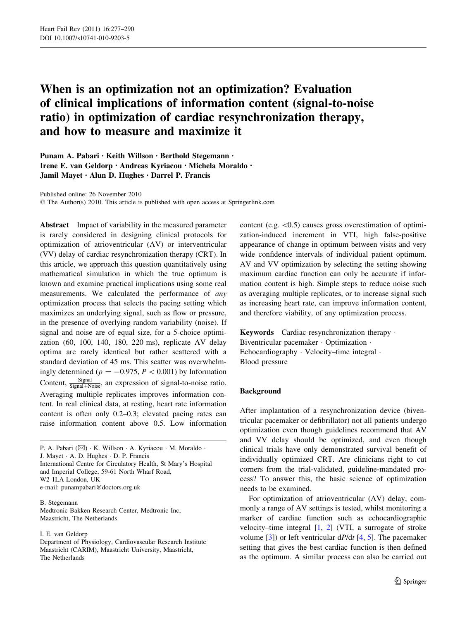# When is an optimization not an optimization? Evaluation of clinical implications of information content (signal-to-noise ratio) in optimization of cardiac resynchronization therapy, and how to measure and maximize it

Punam A. Pabari • Keith Willson • Berthold Stegemann • Irene E. van Geldorp • Andreas Kyriacou • Michela Moraldo • Jamil Mayet • Alun D. Hughes • Darrel P. Francis

Published online: 26 November 2010

© The Author(s) 2010. This article is published with open access at Springerlink.com

Abstract Impact of variability in the measured parameter is rarely considered in designing clinical protocols for optimization of atrioventricular (AV) or interventricular (VV) delay of cardiac resynchronization therapy (CRT). In this article, we approach this question quantitatively using mathematical simulation in which the true optimum is known and examine practical implications using some real measurements. We calculated the performance of any optimization process that selects the pacing setting which maximizes an underlying signal, such as flow or pressure, in the presence of overlying random variability (noise). If signal and noise are of equal size, for a 5-choice optimization (60, 100, 140, 180, 220 ms), replicate AV delay optima are rarely identical but rather scattered with a standard deviation of 45 ms. This scatter was overwhelmingly determined ( $\rho = -0.975$ ,  $P < 0.001$ ) by Information Content,  $\frac{\text{Signal}}{\text{Signal} + \text{Noise}}$ , an expression of signal-to-noise ratio. Averaging multiple replicates improves information content. In real clinical data, at resting, heart rate information content is often only 0.2–0.3; elevated pacing rates can raise information content above 0.5. Low information

P. A. Pabari (⊠) · K. Willson · A. Kyriacou · M. Moraldo · J. Mayet - A. D. Hughes - D. P. Francis International Centre for Circulatory Health, St Mary's Hospital and Imperial College, 59-61 North Wharf Road, W2 1LA London, UK e-mail: punampabari@doctors.org.uk

B. Stegemann Medtronic Bakken Research Center, Medtronic Inc, Maastricht, The Netherlands

I. E. van Geldorp

Department of Physiology, Cardiovascular Research Institute Maastricht (CARIM), Maastricht University, Maastricht, The Netherlands

content (e.g.  $\langle 0.5 \rangle$ ) causes gross overestimation of optimization-induced increment in VTI, high false-positive appearance of change in optimum between visits and very wide confidence intervals of individual patient optimum. AV and VV optimization by selecting the setting showing maximum cardiac function can only be accurate if information content is high. Simple steps to reduce noise such as averaging multiple replicates, or to increase signal such as increasing heart rate, can improve information content, and therefore viability, of any optimization process.

Keywords Cardiac resynchronization therapy - Biventricular pacemaker - Optimization - Echocardiography · Velocity-time integral · Blood pressure

#### Background

After implantation of a resynchronization device (biventricular pacemaker or defibrillator) not all patients undergo optimization even though guidelines recommend that AV and VV delay should be optimized, and even though clinical trials have only demonstrated survival benefit of individually optimized CRT. Are clinicians right to cut corners from the trial-validated, guideline-mandated process? To answer this, the basic science of optimization needs to be examined.

For optimization of atrioventricular (AV) delay, commonly a range of AV settings is tested, whilst monitoring a marker of cardiac function such as echocardiographic velocity–time integral [\[1](#page-13-0), [2](#page-13-0)] (VTI, a surrogate of stroke volume  $[3]$  $[3]$ ) or left ventricular  $dP/dt$   $[4, 5]$  $[4, 5]$  $[4, 5]$ . The pacemaker setting that gives the best cardiac function is then defined as the optimum. A similar process can also be carried out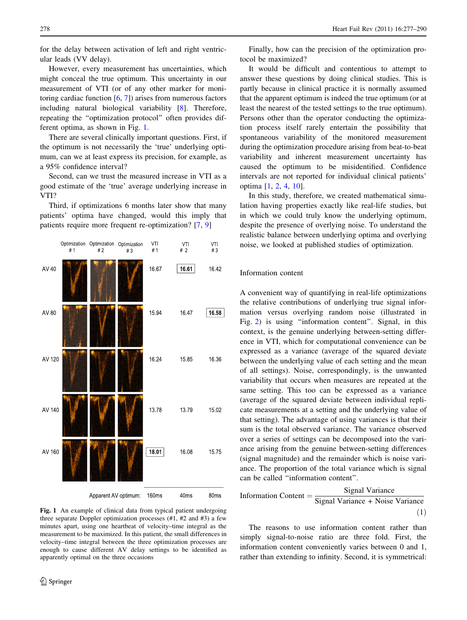for the delay between activation of left and right ventricular leads (VV delay).

However, every measurement has uncertainties, which might conceal the true optimum. This uncertainty in our measurement of VTI (or of any other marker for monitoring cardiac function [\[6](#page-13-0), [7](#page-13-0)]) arises from numerous factors including natural biological variability [\[8](#page-13-0)]. Therefore, repeating the ''optimization protocol'' often provides different optima, as shown in Fig. 1.

There are several clinically important questions. First, if the optimum is not necessarily the 'true' underlying optimum, can we at least express its precision, for example, as a 95% confidence interval?

Second, can we trust the measured increase in VTI as a good estimate of the 'true' average underlying increase in VTI?

Third, if optimizations 6 months later show that many patients' optima have changed, would this imply that patients require more frequent re-optimization? [[7,](#page-13-0) [9\]](#page-13-0)



Fig. 1 An example of clinical data from typical patient undergoing three separate Doppler optimization processes (#1, #2 and #3) a few minutes apart, using one heartbeat of velocity–time integral as the measurement to be maximized. In this patient, the small differences in velocity–time integral between the three optimization processes are enough to cause different AV delay settings to be identified as apparently optimal on the three occasions

Finally, how can the precision of the optimization protocol be maximized?

It would be difficult and contentious to attempt to answer these questions by doing clinical studies. This is partly because in clinical practice it is normally assumed that the apparent optimum is indeed the true optimum (or at least the nearest of the tested settings to the true optimum). Persons other than the operator conducting the optimization process itself rarely entertain the possibility that spontaneous variability of the monitored measurement during the optimization procedure arising from beat-to-beat variability and inherent measurement uncertainty has caused the optimum to be misidentified. Confidence intervals are not reported for individual clinical patients' optima [[1,](#page-13-0) [2](#page-13-0), [4](#page-13-0), [10](#page-13-0)].

In this study, therefore, we created mathematical simulation having properties exactly like real-life studies, but in which we could truly know the underlying optimum, despite the presence of overlying noise. To understand the realistic balance between underlying optima and overlying noise, we looked at published studies of optimization.

#### Information content

A convenient way of quantifying in real-life optimizations the relative contributions of underlying true signal information versus overlying random noise (illustrated in Fig. [2](#page-2-0)) is using ''information content''. Signal, in this context, is the genuine underlying between-setting difference in VTI, which for computational convenience can be expressed as a variance (average of the squared deviate between the underlying value of each setting and the mean of all settings). Noise, correspondingly, is the unwanted variability that occurs when measures are repeated at the same setting. This too can be expressed as a variance (average of the squared deviate between individual replicate measurements at a setting and the underlying value of that setting). The advantage of using variances is that their sum is the total observed variance. The variance observed over a series of settings can be decomposed into the variance arising from the genuine between-setting differences (signal magnitude) and the remainder which is noise variance. The proportion of the total variance which is signal can be called ''information content''.

Information Content = 
$$
\frac{\text{Signal Variance}}{\text{Signal Variance} + \text{Noise Variance}}
$$

\n(1)

The reasons to use information content rather than simply signal-to-noise ratio are three fold. First, the information content conveniently varies between 0 and 1, rather than extending to infinity. Second, it is symmetrical: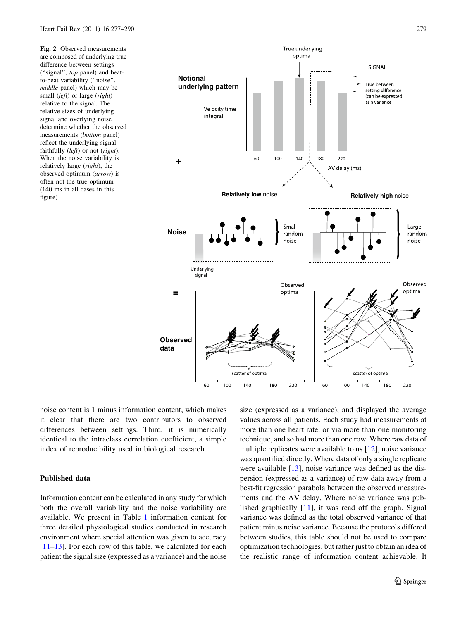<span id="page-2-0"></span>Fig. 2 Observed measurements are composed of underlying true difference between settings (''signal'', top panel) and beatto-beat variability (''noise'', middle panel) which may be small (*left*) or large (*right*) relative to the signal. The relative sizes of underlying signal and overlying noise determine whether the observed measurements (bottom panel) reflect the underlying signal faithfully (left) or not (right). When the noise variability is relatively large (right), the observed optimum (arrow) is often not the true optimum (140 ms in all cases in this figure)



noise content is 1 minus information content, which makes it clear that there are two contributors to observed differences between settings. Third, it is numerically identical to the intraclass correlation coefficient, a simple index of reproducibility used in biological research.

## Published data

Information content can be calculated in any study for which both the overall variability and the noise variability are available. We present in Table [1](#page-3-0) information content for three detailed physiological studies conducted in research environment where special attention was given to accuracy [\[11–13](#page-13-0)]. For each row of this table, we calculated for each patient the signal size (expressed as a variance) and the noise size (expressed as a variance), and displayed the average values across all patients. Each study had measurements at more than one heart rate, or via more than one monitoring technique, and so had more than one row. Where raw data of multiple replicates were available to us [\[12](#page-13-0)], noise variance was quantified directly. Where data of only a single replicate were available [\[13](#page-13-0)], noise variance was defined as the dispersion (expressed as a variance) of raw data away from a best-fit regression parabola between the observed measurements and the AV delay. Where noise variance was published graphically [[11\]](#page-13-0), it was read off the graph. Signal variance was defined as the total observed variance of that patient minus noise variance. Because the protocols differed between studies, this table should not be used to compare optimization technologies, but rather just to obtain an idea of the realistic range of information content achievable. It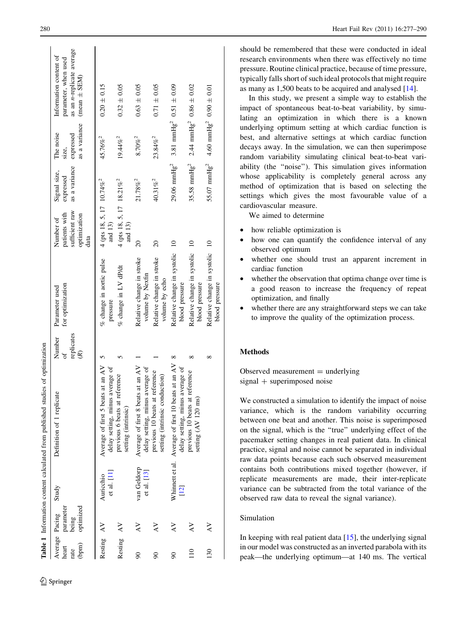<span id="page-3-0"></span>

|                        |                                                   |                            | Table 1 Information content calculated from published studies of optimization         |                                                       |                                                  |                                                                      |                                            |                                                                |                                                                                                         |
|------------------------|---------------------------------------------------|----------------------------|---------------------------------------------------------------------------------------|-------------------------------------------------------|--------------------------------------------------|----------------------------------------------------------------------|--------------------------------------------|----------------------------------------------------------------|---------------------------------------------------------------------------------------------------------|
| (bpm)<br>heart<br>rate | parameter<br>optimized<br>Average Pacing<br>being | Study                      | Definition of 1 replicate                                                             | replicates<br>Number<br>$\widehat{\mathcal{E}}$<br>of | for optimization<br>Parameter used               | sufficient raw<br>patients with<br>optimization<br>Number of<br>data | as a variance<br>Signal size,<br>expressed | as a variance<br>The noise<br>expressed<br>size,               | as an <i>n</i> -replicate average<br>Information content of<br>parameter, when used<br>$(mean \pm SEM)$ |
| Resting AV             |                                                   | et al. [11]<br>Auricchio   | Average of first 5 beats at an AV<br>delay setting, minus average of                  |                                                       | % change in aortic pulse<br>pressure             | 4 (pts 18, 5, 17 10.74% <sup>2</sup><br>and 13)                      |                                            | 45.76% <sup>2</sup>                                            | $0.20 \pm 0.15$                                                                                         |
| Resting AV             |                                                   |                            | previous 6 beats at reference<br>setting (intrinsic)                                  |                                                       | % change in LV dP/dt                             | 4 (pts 18, 5, 17 18.21% <sup>2</sup><br>and $13$                     |                                            | $19.44\%$ <sup>2</sup>                                         | $0.32 \pm 0.05$                                                                                         |
| $\infty$               | $\lambda$                                         | van Geldorp<br>et al. [13] | Average of first 8 beats at an AV<br>delay setting, minus average of                  |                                                       | Relative change in stroke<br>volume by Nexfin    | $\overline{6}$                                                       | $21.78\%^{2}$                              | $8.70\%^{2}$                                                   | $0.63 \pm 0.05$                                                                                         |
| $\infty$               | $\gtrsim$                                         |                            | previous 10 beats at reference<br>setting (intrinsic conduction)                      |                                                       | Relative change in stroke<br>volume by echo      | $\overline{20}$                                                      | $40.31\%$ <sup>2</sup>                     | $23.84\%^2$                                                    | $0.71 \pm 0.05$                                                                                         |
| $\infty$               | $\breve{\rm A}$                                   | [12]                       | Whinnett et al. Average of first 10 beats at an AV<br>delay setting, minus average of | ∞                                                     | Relative change in systolic 10<br>blood pressure |                                                                      |                                            | 29.06 mmHg <sup>2</sup> 3.81 mmHg <sup>2</sup> 0.51 $\pm$ 0.09 |                                                                                                         |
| 110                    | $\lambda$                                         |                            | previous 10 beats at reference<br>setting (AV 120 ms)                                 |                                                       | Relative change in systolic 10<br>blood pressure |                                                                      |                                            | 35.58 mmHg <sup>2</sup> 2.44 mmHg <sup>2</sup> 0.86 ± 0.02     |                                                                                                         |
| 130                    | $\geq$                                            |                            |                                                                                       | ∞                                                     | Relative change in systolic 10<br>blood pressure |                                                                      |                                            | 55.07 mmHg <sup>2</sup> 4.60 mmHg <sup>2</sup> 0.90 ± 0.01     |                                                                                                         |

should be remembered that these were conducted in ideal research environments when there was effectively no time pressure. Routine clinical practice, because of time pressure, typically falls short of such ideal protocols that might require as many as 1,500 beats to be acquired and analysed [[14\]](#page-13-0).

In this study, we present a simple way to establish the impact of spontaneous beat-to-beat variability, by simulating an optimization in which there is a known underlying optimum setting at which cardiac function is best, and alternative settings at which cardiac function decays away. In the simulation, we can then superimpose random variability simulating clinical beat-to-beat variability (the ''noise''). This simulation gives information whose applicability is completely general across any method of optimization that is based on selecting the settings which gives the most favourable value of a cardiovascular measure.

We aimed to determine

- how reliable optimization is
- how one can quantify the confidence interval of any observed optimum
- whether one should trust an apparent increment in cardiac function
- whether the observation that optima change over time is a good reason to increase the frequency of repeat optimization, and finally
- whether there are any straightforward steps we can take to improve the quality of the optimization process.

## Methods

Observed measurement  $=$  underlying  $signal + superimposed noise$ 

We constructed a simulation to identify the impact of noise variance, which is the random variability occurring between one beat and another. This noise is superimposed on the signal, which is the ''true'' underlying effect of the pacemaker setting changes in real patient data. In clinical practice, signal and noise cannot be separated in individual raw data points because each such observed measurement contains both contributions mixed together (however, if replicate measurements are made, their inter-replicate variance can be subtracted from the total variance of the observed raw data to reveal the signal variance).

### Simulation

In keeping with real patient data  $[15]$  $[15]$ , the underlying signal in our model was constructed as an inverted parabola with its peak—the underlying optimum—at 140 ms. The vertical

 $\mathbf{r}$ 

 $\blacksquare$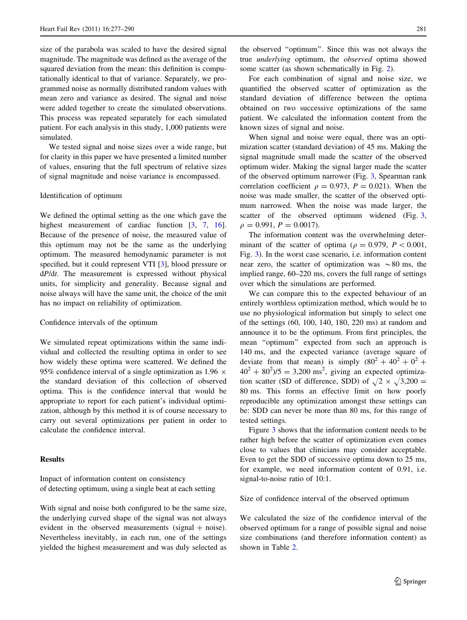size of the parabola was scaled to have the desired signal magnitude. The magnitude was defined as the average of the squared deviation from the mean: this definition is computationally identical to that of variance. Separately, we programmed noise as normally distributed random values with mean zero and variance as desired. The signal and noise were added together to create the simulated observations. This process was repeated separately for each simulated patient. For each analysis in this study, 1,000 patients were simulated.

We tested signal and noise sizes over a wide range, but for clarity in this paper we have presented a limited number of values, ensuring that the full spectrum of relative sizes of signal magnitude and noise variance is encompassed.

#### Identification of optimum

We defined the optimal setting as the one which gave the highest measurement of cardiac function [[3,](#page-13-0) [7,](#page-13-0) [16](#page-13-0)]. Because of the presence of noise, the measured value of this optimum may not be the same as the underlying optimum. The measured hemodynamic parameter is not specified, but it could represent VTI [[3\]](#page-13-0), blood pressure or dP/dt. The measurement is expressed without physical units, for simplicity and generality. Because signal and noise always will have the same unit, the choice of the unit has no impact on reliability of optimization.

#### Confidence intervals of the optimum

We simulated repeat optimizations within the same individual and collected the resulting optima in order to see how widely these optima were scattered. We defined the 95% confidence interval of a single optimization as 1.96  $\times$ the standard deviation of this collection of observed optima. This is the confidence interval that would be appropriate to report for each patient's individual optimization, although by this method it is of course necessary to carry out several optimizations per patient in order to calculate the confidence interval.

#### Results

Impact of information content on consistency of detecting optimum, using a single beat at each setting

With signal and noise both configured to be the same size, the underlying curved shape of the signal was not always evident in the observed measurements (signal  $+$  noise). Nevertheless inevitably, in each run, one of the settings yielded the highest measurement and was duly selected as

the observed ''optimum''. Since this was not always the true underlying optimum, the observed optima showed some scatter (as shown schematically in Fig. [2](#page-2-0)).

For each combination of signal and noise size, we quantified the observed scatter of optimization as the standard deviation of difference between the optima obtained on two successive optimizations of the same patient. We calculated the information content from the known sizes of signal and noise.

When signal and noise were equal, there was an optimization scatter (standard deviation) of 45 ms. Making the signal magnitude small made the scatter of the observed optimum wider. Making the signal larger made the scatter of the observed optimum narrower (Fig. [3,](#page-5-0) Spearman rank correlation coefficient  $\rho = 0.973$ ,  $P = 0.021$ ). When the noise was made smaller, the scatter of the observed optimum narrowed. When the noise was made larger, the scatter of the observed optimum widened (Fig. [3,](#page-5-0)  $\rho = 0.991, P = 0.0017.$ 

The information content was the overwhelming determinant of the scatter of optima ( $\rho = 0.979$ ,  $P < 0.001$ , Fig. [3](#page-5-0)). In the worst case scenario, i.e. information content near zero, the scatter of optimization was  $\sim 80$  ms, the implied range, 60–220 ms, covers the full range of settings over which the simulations are performed.

We can compare this to the expected behaviour of an entirely worthless optimization method, which would be to use no physiological information but simply to select one of the settings (60, 100, 140, 180, 220 ms) at random and announce it to be the optimum. From first principles, the mean "optimum" expected from such an approach is 140 ms, and the expected variance (average square of deviate from that mean) is simply  $(80^2 + 40^2 + 0^2 +$  $40^2 + 80^2$ /5 = 3,200 ms<sup>2</sup>, giving an expected optimization scatter (SD of difference, SDD) of  $\sqrt{2} \times \sqrt{3,200}$  = 80 ms. This forms an effective limit on how poorly reproducible any optimization amongst these settings can be: SDD can never be more than 80 ms, for this range of tested settings.

Figure [3](#page-5-0) shows that the information content needs to be rather high before the scatter of optimization even comes close to values that clinicians may consider acceptable. Even to get the SDD of successive optima down to 25 ms, for example, we need information content of 0.91, i.e. signal-to-noise ratio of 10:1.

Size of confidence interval of the observed optimum

We calculated the size of the confidence interval of the observed optimum for a range of possible signal and noise size combinations (and therefore information content) as shown in Table [2.](#page-6-0)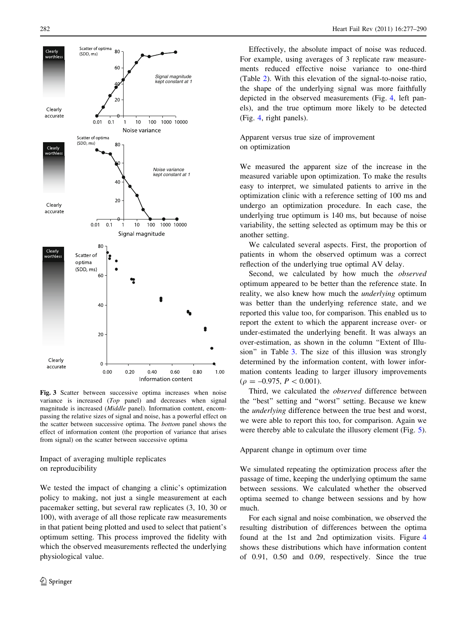<span id="page-5-0"></span>

Fig. 3 Scatter between successive optima increases when noise variance is increased  $(Top$  panel) and decreases when signal magnitude is increased (Middle panel). Information content, encompassing the relative sizes of signal and noise, has a powerful effect on the scatter between successive optima. The bottom panel shows the effect of information content (the proportion of variance that arises from signal) on the scatter between successive optima

Impact of averaging multiple replicates on reproducibility

We tested the impact of changing a clinic's optimization policy to making, not just a single measurement at each pacemaker setting, but several raw replicates (3, 10, 30 or 100), with average of all those replicate raw measurements in that patient being plotted and used to select that patient's optimum setting. This process improved the fidelity with which the observed measurements reflected the underlying physiological value.

Effectively, the absolute impact of noise was reduced. For example, using averages of 3 replicate raw measurements reduced effective noise variance to one-third (Table [2\)](#page-6-0). With this elevation of the signal-to-noise ratio, the shape of the underlying signal was more faithfully depicted in the observed measurements (Fig. [4](#page-7-0), left panels), and the true optimum more likely to be detected (Fig. [4,](#page-7-0) right panels).

#### Apparent versus true size of improvement on optimization

We measured the apparent size of the increase in the measured variable upon optimization. To make the results easy to interpret, we simulated patients to arrive in the optimization clinic with a reference setting of 100 ms and undergo an optimization procedure. In each case, the underlying true optimum is 140 ms, but because of noise variability, the setting selected as optimum may be this or another setting.

We calculated several aspects. First, the proportion of patients in whom the observed optimum was a correct reflection of the underlying true optimal AV delay.

Second, we calculated by how much the observed optimum appeared to be better than the reference state. In reality, we also knew how much the underlying optimum was better than the underlying reference state, and we reported this value too, for comparison. This enabled us to report the extent to which the apparent increase over- or under-estimated the underlying benefit. It was always an over-estimation, as shown in the column ''Extent of Illusion'' in Table [3.](#page-7-0) The size of this illusion was strongly determined by the information content, with lower information contents leading to larger illusory improvements  $(\rho = -0.975, P < 0.001).$ 

Third, we calculated the observed difference between the ''best'' setting and ''worst'' setting. Because we knew the underlying difference between the true best and worst, we were able to report this too, for comparison. Again we were thereby able to calculate the illusory element (Fig. [5](#page-8-0)).

Apparent change in optimum over time

We simulated repeating the optimization process after the passage of time, keeping the underlying optimum the same between sessions. We calculated whether the observed optima seemed to change between sessions and by how much.

For each signal and noise combination, we observed the resulting distribution of differences between the optima found at the 1st and 2nd optimization visits. Figure [4](#page-7-0) shows these distributions which have information content of 0.91, 0.50 and 0.09, respectively. Since the true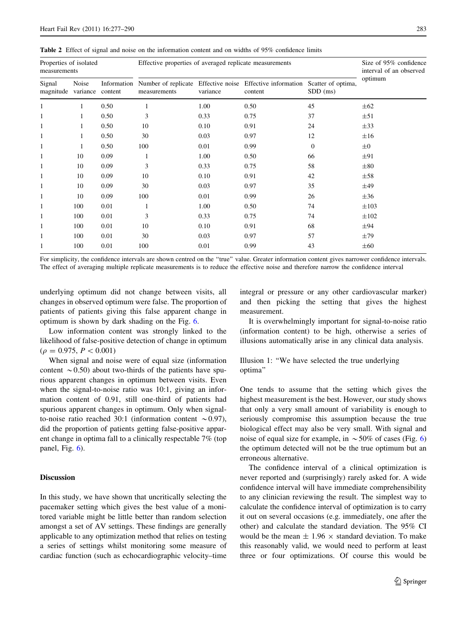<span id="page-6-0"></span>

| <b>Table 2</b> Effect of signal and noise on the information content and on widths of 95% confidence limits |  |
|-------------------------------------------------------------------------------------------------------------|--|
|-------------------------------------------------------------------------------------------------------------|--|

| Properties of isolated<br>measurements |                   |         | Effective properties of averaged replicate measurements |          |                                                                                  |                                  | Size of 95% confidence<br>interval of an observed |  |
|----------------------------------------|-------------------|---------|---------------------------------------------------------|----------|----------------------------------------------------------------------------------|----------------------------------|---------------------------------------------------|--|
| Signal<br>magnitude                    | Noise<br>variance | content | measurements                                            | variance | Information Number of replicate Effective noise Effective information<br>content | Scatter of optima,<br>$SDD$ (ms) | optimum                                           |  |
|                                        |                   | 0.50    |                                                         | 1.00     | 0.50                                                                             | 45                               | $\pm 62$                                          |  |
| 1                                      |                   | 0.50    | 3                                                       | 0.33     | 0.75                                                                             | 37                               | $\pm 51$                                          |  |
| 1                                      | 1                 | 0.50    | 10                                                      | 0.10     | 0.91                                                                             | 24                               | $\pm$ 33                                          |  |
| 1                                      | 1                 | 0.50    | 30                                                      | 0.03     | 0.97                                                                             | 12                               | $\pm 16$                                          |  |
| 1                                      | 1                 | 0.50    | 100                                                     | 0.01     | 0.99                                                                             | $\Omega$                         | $\pm 0$                                           |  |
| 1                                      | 10                | 0.09    |                                                         | 1.00     | 0.50                                                                             | 66                               | $\pm 91$                                          |  |
|                                        | 10                | 0.09    | 3                                                       | 0.33     | 0.75                                                                             | 58                               | $\pm 80$                                          |  |
| 1                                      | 10                | 0.09    | 10                                                      | 0.10     | 0.91                                                                             | 42                               | $\pm$ 58                                          |  |
| 1                                      | 10                | 0.09    | 30                                                      | 0.03     | 0.97                                                                             | 35                               | $\pm 49$                                          |  |
| 1                                      | 10                | 0.09    | 100                                                     | 0.01     | 0.99                                                                             | 26                               | $\pm 36$                                          |  |
| 1                                      | 100               | 0.01    |                                                         | 1.00     | 0.50                                                                             | 74                               | $\pm 103$                                         |  |
| 1                                      | 100               | 0.01    | 3                                                       | 0.33     | 0.75                                                                             | 74                               | $\pm 102$                                         |  |
| 1                                      | 100               | 0.01    | 10                                                      | 0.10     | 0.91                                                                             | 68                               | $\pm 94$                                          |  |
| 1                                      | 100               | 0.01    | 30                                                      | 0.03     | 0.97                                                                             | 57                               | $\pm 79$                                          |  |
| 1                                      | 100               | 0.01    | 100                                                     | 0.01     | 0.99                                                                             | 43                               | $\pm 60$                                          |  |

For simplicity, the confidence intervals are shown centred on the ''true'' value. Greater information content gives narrower confidence intervals. The effect of averaging multiple replicate measurements is to reduce the effective noise and therefore narrow the confidence interval

underlying optimum did not change between visits, all changes in observed optimum were false. The proportion of patients of patients giving this false apparent change in optimum is shown by dark shading on the Fig. [6.](#page-8-0)

Low information content was strongly linked to the likelihood of false-positive detection of change in optimum  $(\rho = 0.975, P < 0.001)$ 

When signal and noise were of equal size (information content  $\sim$  0.50) about two-thirds of the patients have spurious apparent changes in optimum between visits. Even when the signal-to-noise ratio was 10:1, giving an information content of 0.91, still one-third of patients had spurious apparent changes in optimum. Only when signalto-noise ratio reached 30:1 (information content  $\sim$  0.97), did the proportion of patients getting false-positive apparent change in optima fall to a clinically respectable 7% (top panel, Fig. [6\)](#page-8-0).

#### **Discussion**

In this study, we have shown that uncritically selecting the pacemaker setting which gives the best value of a monitored variable might be little better than random selection amongst a set of AV settings. These findings are generally applicable to any optimization method that relies on testing a series of settings whilst monitoring some measure of cardiac function (such as echocardiographic velocity–time integral or pressure or any other cardiovascular marker) and then picking the setting that gives the highest measurement.

It is overwhelmingly important for signal-to-noise ratio (information content) to be high, otherwise a series of illusions automatically arise in any clinical data analysis.

Illusion 1: ''We have selected the true underlying optima''

One tends to assume that the setting which gives the highest measurement is the best. However, our study shows that only a very small amount of variability is enough to seriously compromise this assumption because the true biological effect may also be very small. With signal and noise of equal size for example, in  $\sim$  50% of cases (Fig. [6\)](#page-8-0) the optimum detected will not be the true optimum but an erroneous alternative.

The confidence interval of a clinical optimization is never reported and (surprisingly) rarely asked for. A wide confidence interval will have immediate comprehensibility to any clinician reviewing the result. The simplest way to calculate the confidence interval of optimization is to carry it out on several occasions (e.g. immediately, one after the other) and calculate the standard deviation. The 95% CI would be the mean  $\pm$  1.96  $\times$  standard deviation. To make this reasonably valid, we would need to perform at least three or four optimizations. Of course this would be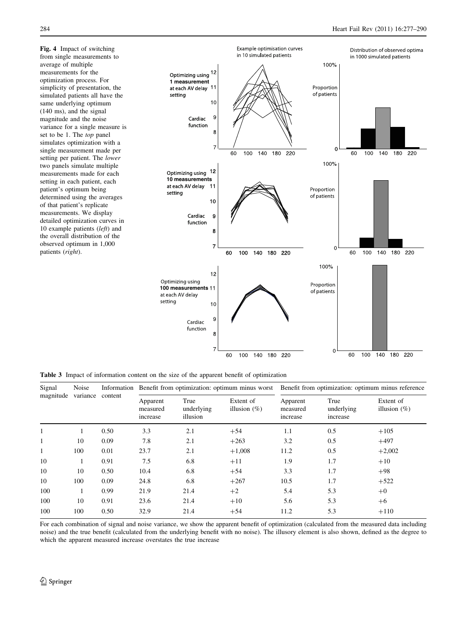<span id="page-7-0"></span>Fig. 4 Impact of switching from single measurements to average of multiple measurements for the optimization process. For simplicity of presentation, the simulated patients all have the same underlying optimum (140 ms), and the signal magnitude and the noise variance for a single measure is set to be 1. The top panel simulates optimization with a single measurement made per setting per patient. The lower two panels simulate multiple measurements made for each setting in each patient, each patient's optimum being determined using the averages of that patient's replicate measurements. We display detailed optimization curves in 10 example patients (left) and the overall distribution of the observed optimum in 1,000 patients (right).



Table 3 Impact of information content on the size of the apparent benefit of optimization

| Signal       | Noise    | Information |                                  |                                |                              | Benefit from optimization: optimum minus worst Benefit from optimization: optimum minus reference |                                |                              |  |
|--------------|----------|-------------|----------------------------------|--------------------------------|------------------------------|---------------------------------------------------------------------------------------------------|--------------------------------|------------------------------|--|
| magnitude    | variance | content     | Apparent<br>measured<br>increase | True<br>underlying<br>illusion | Extent of<br>illusion $(\%)$ | Apparent<br>measured<br>increase                                                                  | True<br>underlying<br>increase | Extent of<br>illusion $(\%)$ |  |
| 1            |          | 0.50        | 3.3                              | 2.1                            | $+54$                        | 1.1                                                                                               | 0.5                            | $+105$                       |  |
| $\mathbf{1}$ | 10       | 0.09        | 7.8                              | 2.1                            | $+263$                       | 3.2                                                                                               | 0.5                            | $+497$                       |  |
| $\mathbf{1}$ | 100      | 0.01        | 23.7                             | 2.1                            | $+1,008$                     | 11.2                                                                                              | 0.5                            | $+2,002$                     |  |
| 10           |          | 0.91        | 7.5                              | 6.8                            | $+11$                        | 1.9                                                                                               | 1.7                            | $+10$                        |  |
| 10           | 10       | 0.50        | 10.4                             | 6.8                            | $+54$                        | 3.3                                                                                               | 1.7                            | $+98$                        |  |
| 10           | 100      | 0.09        | 24.8                             | 6.8                            | $+267$                       | 10.5                                                                                              | 1.7                            | $+522$                       |  |
| 100          |          | 0.99        | 21.9                             | 21.4                           | $+2$                         | 5.4                                                                                               | 5.3                            | $+0$                         |  |
| 100          | 10       | 0.91        | 23.6                             | 21.4                           | $+10$                        | 5.6                                                                                               | 5.3                            | $+6$                         |  |
| 100          | 100      | 0.50        | 32.9                             | 21.4                           | $+54$                        | 11.2                                                                                              | 5.3                            | $+110$                       |  |

For each combination of signal and noise variance, we show the apparent benefit of optimization (calculated from the measured data including noise) and the true benefit (calculated from the underlying benefit with no noise). The illusory element is also shown, defined as the degree to which the apparent measured increase overstates the true increase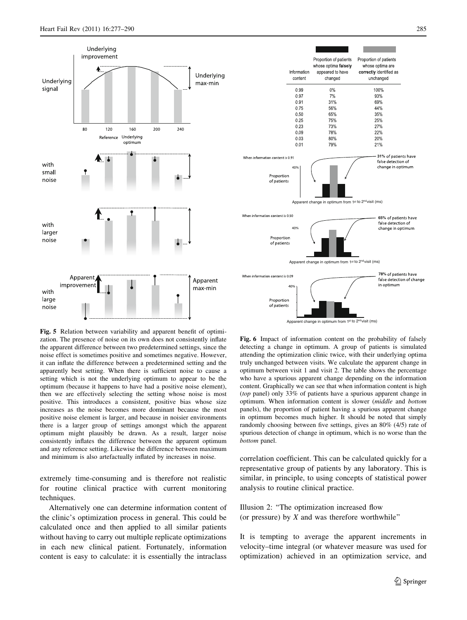<span id="page-8-0"></span>

Proportion of patients Proportion of patients whose optima falsely whose optima are Information appeared to have correctly identified as content changed unchanged 100%  $0.99$  $0%$  $0.97$  $7%$ 93%  $31%$ 0.91 69% 56% 44% 0.75  $0.50$ 65% 35%  $0.25$ 75% 25%  $0.23$ 73% 27%  $0.09$ 78%  $22%$ 0.03 80% 20%  $0.01$ 79% 21% **31%** of patients have When information content is 0.91 false detection of change in optimum Proportion of patients Apparent change in optimum from 1<sup>st</sup> to 2<sup>nd</sup> visit (ms) When information content is 0.50 **65%** of patients have<br>false detection of 40% change in optimum Proportion of patients Apparent change in optimum from 1<sup>st</sup> to 2<sup>nd</sup> visit (ms) **78%** of patients have When information content is 0.09 false detection of change in optimum  $A00$ Proportion of patients

Apparent change in optimum from  $1<sup>st</sup>$  to  $2<sup>nd</sup>$  visit (ms)

zation. The presence of noise on its own does not consistently inflate the apparent difference between two predetermined settings, since the noise effect is sometimes positive and sometimes negative. However, it can inflate the difference between a predetermined setting and the apparently best setting. When there is sufficient noise to cause a setting which is not the underlying optimum to appear to be the optimum (because it happens to have had a positive noise element), then we are effectively selecting the setting whose noise is most positive. This introduces a consistent, positive bias whose size increases as the noise becomes more dominant because the most positive noise element is larger, and because in noisier environments there is a larger group of settings amongst which the apparent optimum might plausibly be drawn. As a result, larger noise consistently inflates the difference between the apparent optimum and any reference setting. Likewise the difference between maximum and minimum is also artefactually inflated by increases in noise.

extremely time-consuming and is therefore not realistic for routine clinical practice with current monitoring techniques.

Alternatively one can determine information content of the clinic's optimization process in general. This could be calculated once and then applied to all similar patients without having to carry out multiple replicate optimizations in each new clinical patient. Fortunately, information content is easy to calculate: it is essentially the intraclass

Fig. 6 Impact of information content on the probability of falsely detecting a change in optimum. A group of patients is simulated attending the optimization clinic twice, with their underlying optima truly unchanged between visits. We calculate the apparent change in optimum between visit 1 and visit 2. The table shows the percentage who have a spurious apparent change depending on the information content. Graphically we can see that when information content is high (top panel) only 33% of patients have a spurious apparent change in optimum. When information content is slower (middle and bottom panels), the proportion of patient having a spurious apparent change in optimum becomes much higher. It should be noted that simply randomly choosing between five settings, gives an 80% (4/5) rate of spurious detection of change in optimum, which is no worse than the bottom panel.

correlation coefficient. This can be calculated quickly for a representative group of patients by any laboratory. This is similar, in principle, to using concepts of statistical power analysis to routine clinical practice.

Illusion 2: ''The optimization increased flow (or pressure) by  $X$  and was therefore worthwhile"

It is tempting to average the apparent increments in velocity–time integral (or whatever measure was used for optimization) achieved in an optimization service, and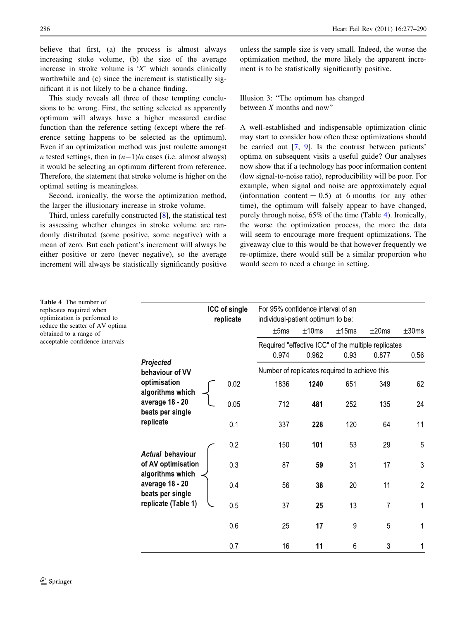<span id="page-9-0"></span>believe that first, (a) the process is almost always increasing stoke volume, (b) the size of the average increase in stroke volume is  $'X'$  which sounds clinically worthwhile and (c) since the increment is statistically significant it is not likely to be a chance finding.

This study reveals all three of these tempting conclusions to be wrong. First, the setting selected as apparently optimum will always have a higher measured cardiac function than the reference setting (except where the reference setting happens to be selected as the optimum). Even if an optimization method was just roulette amongst *n* tested settings, then in  $(n-1)/n$  cases (i.e. almost always) it would be selecting an optimum different from reference. Therefore, the statement that stroke volume is higher on the optimal setting is meaningless.

Second, ironically, the worse the optimization method, the larger the illusionary increase in stroke volume.

Third, unless carefully constructed [[8\]](#page-13-0), the statistical test is assessing whether changes in stroke volume are randomly distributed (some positive, some negative) with a mean of zero. But each patient's increment will always be either positive or zero (never negative), so the average increment will always be statistically significantly positive

unless the sample size is very small. Indeed, the worse the optimization method, the more likely the apparent increment is to be statistically significantly positive.

Illusion 3: ''The optimum has changed between  $X$  months and now"

A well-established and indispensable optimization clinic may start to consider how often these optimizations should be carried out [\[7](#page-13-0), [9](#page-13-0)]. Is the contrast between patients' optima on subsequent visits a useful guide? Our analyses now show that if a technology has poor information content (low signal-to-noise ratio), reproducibility will be poor. For example, when signal and noise are approximately equal (information content  $= 0.5$ ) at 6 months (or any other time), the optimum will falsely appear to have changed, purely through noise, 65% of the time (Table 4). Ironically, the worse the optimization process, the more the data will seem to encourage more frequent optimizations. The giveaway clue to this would be that however frequently we re-optimize, there would still be a similar proportion who would seem to need a change in setting.

| Table 4 The number of<br>replicates required when                                                                            |                                                                                                                                                                                                  | ICC of single<br>replicate |      | For 95% confidence interval of an<br>individual-patient optimum to be: |             |       |                |                |  |
|------------------------------------------------------------------------------------------------------------------------------|--------------------------------------------------------------------------------------------------------------------------------------------------------------------------------------------------|----------------------------|------|------------------------------------------------------------------------|-------------|-------|----------------|----------------|--|
|                                                                                                                              |                                                                                                                                                                                                  |                            |      | ±5ms                                                                   | $\pm 10$ ms | ±15ms | $\pm 20$ ms    | $\pm 30$ ms    |  |
|                                                                                                                              |                                                                                                                                                                                                  |                            |      | Required "effective ICC" of the multiple replicates                    |             |       |                |                |  |
|                                                                                                                              | Projected                                                                                                                                                                                        |                            |      | 0.974                                                                  | 0.962       | 0.93  | 0.877          | 0.56           |  |
| optimization is performed to<br>reduce the scatter of AV optima<br>obtained to a range of<br>acceptable confidence intervals | behaviour of VV                                                                                                                                                                                  |                            |      | Number of replicates required to achieve this                          |             |       |                |                |  |
|                                                                                                                              | optimisation                                                                                                                                                                                     |                            | 0.02 | 1836                                                                   | 1240        | 651   | 349            | 62             |  |
|                                                                                                                              | algorithms which<br>average 18 - 20<br>beats per single<br>replicate<br>Actual behaviour<br>of AV optimisation<br>algorithms which<br>average 18 - 20<br>beats per single<br>replicate (Table 1) |                            | 0.05 | 712                                                                    | 481         | 252   | 135            | 24             |  |
|                                                                                                                              |                                                                                                                                                                                                  |                            | 0.1  | 337                                                                    | 228         | 120   | 64             | 11             |  |
|                                                                                                                              |                                                                                                                                                                                                  |                            | 0.2  | 150                                                                    | 101         | 53    | 29             | 5              |  |
|                                                                                                                              |                                                                                                                                                                                                  |                            | 0.3  | 87                                                                     | 59          | 31    | 17             | 3              |  |
|                                                                                                                              |                                                                                                                                                                                                  |                            | 0.4  | 56                                                                     | 38          | 20    | 11             | $\overline{2}$ |  |
|                                                                                                                              |                                                                                                                                                                                                  |                            | 0.5  | 37                                                                     | 25          | 13    | $\overline{7}$ | $\mathbf 1$    |  |
|                                                                                                                              |                                                                                                                                                                                                  |                            | 0.6  | 25                                                                     | 17          | 9     | 5              | 1              |  |
|                                                                                                                              |                                                                                                                                                                                                  |                            | 0.7  | 16                                                                     | 11          | 6     | 3              |                |  |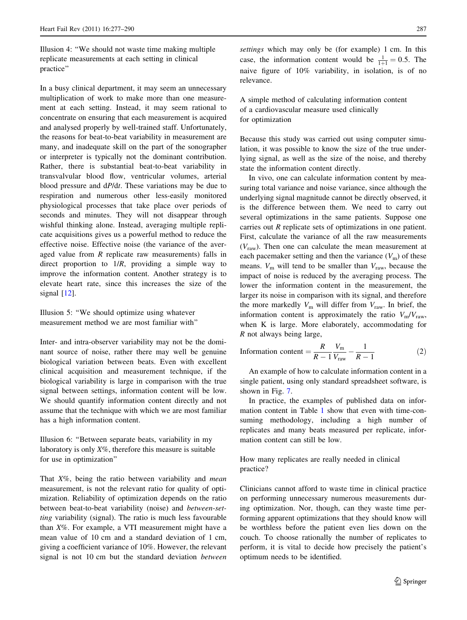<span id="page-10-0"></span>Illusion 4: ''We should not waste time making multiple replicate measurements at each setting in clinical practice''

In a busy clinical department, it may seem an unnecessary multiplication of work to make more than one measurement at each setting. Instead, it may seem rational to concentrate on ensuring that each measurement is acquired and analysed properly by well-trained staff. Unfortunately, the reasons for beat-to-beat variability in measurement are many, and inadequate skill on the part of the sonographer or interpreter is typically not the dominant contribution. Rather, there is substantial beat-to-beat variability in transvalvular blood flow, ventricular volumes, arterial blood pressure and dP/dt. These variations may be due to respiration and numerous other less-easily monitored physiological processes that take place over periods of seconds and minutes. They will not disappear through wishful thinking alone. Instead, averaging multiple replicate acquisitions gives us a powerful method to reduce the effective noise. Effective noise (the variance of the averaged value from  $R$  replicate raw measurements) falls in direct proportion to  $1/R$ , providing a simple way to improve the information content. Another strategy is to elevate heart rate, since this increases the size of the signal [[12\]](#page-13-0).

Illusion 5: ''We should optimize using whatever measurement method we are most familiar with''

Inter- and intra-observer variability may not be the dominant source of noise, rather there may well be genuine biological variation between beats. Even with excellent clinical acquisition and measurement technique, if the biological variability is large in comparison with the true signal between settings, information content will be low. We should quantify information content directly and not assume that the technique with which we are most familiar has a high information content.

Illusion 6: ''Between separate beats, variability in my laboratory is only  $X\%$ , therefore this measure is suitable for use in optimization''

That  $X\%$ , being the ratio between variability and *mean* measurement, is not the relevant ratio for quality of optimization. Reliability of optimization depends on the ratio between beat-to-beat variability (noise) and between-setting variability (signal). The ratio is much less favourable than X%. For example, a VTI measurement might have a mean value of 10 cm and a standard deviation of 1 cm, giving a coefficient variance of 10%. However, the relevant signal is not 10 cm but the standard deviation between settings which may only be (for example) 1 cm. In this case, the information content would be  $\frac{1}{1+1} = 0.5$ . The naive figure of 10% variability, in isolation, is of no relevance.

A simple method of calculating information content of a cardiovascular measure used clinically for optimization

Because this study was carried out using computer simulation, it was possible to know the size of the true underlying signal, as well as the size of the noise, and thereby state the information content directly.

In vivo, one can calculate information content by measuring total variance and noise variance, since although the underlying signal magnitude cannot be directly observed, it is the difference between them. We need to carry out several optimizations in the same patients. Suppose one carries out R replicate sets of optimizations in one patient. First, calculate the variance of all the raw measurements  $(V<sub>raw</sub>)$ . Then one can calculate the mean measurement at each pacemaker setting and then the variance  $(V<sub>m</sub>)$  of these means.  $V_m$  will tend to be smaller than  $V_{\text{raw}}$ , because the impact of noise is reduced by the averaging process. The lower the information content in the measurement, the larger its noise in comparison with its signal, and therefore the more markedly  $V_m$  will differ from  $V_{raw}$ . In brief, the information content is approximately the ratio  $V_{\text{m}}/V_{\text{raw}}$ , when K is large. More elaborately, accommodating for R not always being large,

Information content = 
$$
\frac{R}{R-1} \frac{V_m}{V_{\text{raw}}} - \frac{1}{R-1}
$$
 (2)

An example of how to calculate information content in a single patient, using only standard spreadsheet software, is shown in Fig. [7.](#page-11-0)

In practice, the examples of published data on information content in Table [1](#page-3-0) show that even with time-consuming methodology, including a high number of replicates and many beats measured per replicate, information content can still be low.

## How many replicates are really needed in clinical practice?

Clinicians cannot afford to waste time in clinical practice on performing unnecessary numerous measurements during optimization. Nor, though, can they waste time performing apparent optimizations that they should know will be worthless before the patient even lies down on the couch. To choose rationally the number of replicates to perform, it is vital to decide how precisely the patient's optimum needs to be identified.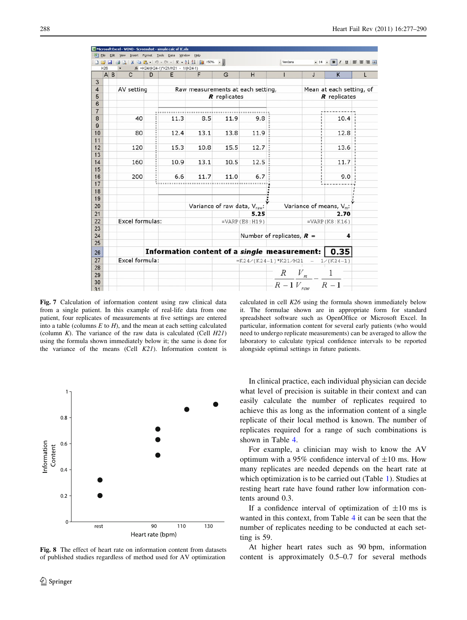<span id="page-11-0"></span>

|     |                             | Microsoft Excel - WONO - Screenshot - simple calc of IC.xls |                                                      |                                                                                               |      |                                                                                                         |                                                                                  |                                             |                                                                                                                                                                                                                                                                                                 |
|-----|-----------------------------|-------------------------------------------------------------|------------------------------------------------------|-----------------------------------------------------------------------------------------------|------|---------------------------------------------------------------------------------------------------------|----------------------------------------------------------------------------------|---------------------------------------------|-------------------------------------------------------------------------------------------------------------------------------------------------------------------------------------------------------------------------------------------------------------------------------------------------|
|     |                             |                                                             | Help                                                 |                                                                                               |      |                                                                                                         |                                                                                  |                                             |                                                                                                                                                                                                                                                                                                 |
|     |                             |                                                             |                                                      |                                                                                               |      | Verdana                                                                                                 |                                                                                  |                                             |                                                                                                                                                                                                                                                                                                 |
|     |                             |                                                             |                                                      |                                                                                               |      |                                                                                                         |                                                                                  |                                             | L                                                                                                                                                                                                                                                                                               |
|     |                             |                                                             |                                                      |                                                                                               |      |                                                                                                         |                                                                                  |                                             |                                                                                                                                                                                                                                                                                                 |
|     |                             |                                                             |                                                      |                                                                                               |      |                                                                                                         |                                                                                  |                                             |                                                                                                                                                                                                                                                                                                 |
|     |                             |                                                             |                                                      |                                                                                               |      |                                                                                                         |                                                                                  |                                             |                                                                                                                                                                                                                                                                                                 |
|     |                             |                                                             |                                                      |                                                                                               |      |                                                                                                         |                                                                                  |                                             |                                                                                                                                                                                                                                                                                                 |
|     |                             |                                                             |                                                      |                                                                                               |      |                                                                                                         |                                                                                  |                                             |                                                                                                                                                                                                                                                                                                 |
| 40  |                             | 11.3                                                        | 8.5                                                  |                                                                                               | 9.8  |                                                                                                         |                                                                                  | 10.4                                        |                                                                                                                                                                                                                                                                                                 |
|     |                             |                                                             |                                                      |                                                                                               |      |                                                                                                         |                                                                                  |                                             |                                                                                                                                                                                                                                                                                                 |
| 80  |                             | 12.4                                                        | 13.1                                                 |                                                                                               | 11.9 |                                                                                                         |                                                                                  | 12.8                                        |                                                                                                                                                                                                                                                                                                 |
|     |                             |                                                             |                                                      |                                                                                               |      |                                                                                                         |                                                                                  |                                             |                                                                                                                                                                                                                                                                                                 |
| 120 |                             | 15.3                                                        | 10.8                                                 |                                                                                               | 12.7 |                                                                                                         |                                                                                  | 13.6                                        |                                                                                                                                                                                                                                                                                                 |
|     |                             |                                                             |                                                      |                                                                                               |      |                                                                                                         |                                                                                  |                                             |                                                                                                                                                                                                                                                                                                 |
| 160 |                             | 10.9                                                        | 13.1                                                 |                                                                                               |      |                                                                                                         |                                                                                  | 11.7                                        |                                                                                                                                                                                                                                                                                                 |
|     |                             |                                                             |                                                      |                                                                                               |      |                                                                                                         |                                                                                  |                                             |                                                                                                                                                                                                                                                                                                 |
|     |                             |                                                             |                                                      |                                                                                               |      |                                                                                                         |                                                                                  |                                             |                                                                                                                                                                                                                                                                                                 |
|     |                             |                                                             |                                                      |                                                                                               |      |                                                                                                         |                                                                                  |                                             |                                                                                                                                                                                                                                                                                                 |
|     |                             |                                                             |                                                      |                                                                                               |      |                                                                                                         |                                                                                  |                                             |                                                                                                                                                                                                                                                                                                 |
|     |                             |                                                             |                                                      |                                                                                               |      |                                                                                                         |                                                                                  |                                             |                                                                                                                                                                                                                                                                                                 |
|     |                             |                                                             |                                                      |                                                                                               |      |                                                                                                         |                                                                                  |                                             |                                                                                                                                                                                                                                                                                                 |
|     |                             |                                                             |                                                      |                                                                                               |      |                                                                                                         |                                                                                  |                                             |                                                                                                                                                                                                                                                                                                 |
|     |                             |                                                             |                                                      |                                                                                               |      |                                                                                                         |                                                                                  |                                             |                                                                                                                                                                                                                                                                                                 |
|     |                             |                                                             |                                                      |                                                                                               |      |                                                                                                         |                                                                                  |                                             |                                                                                                                                                                                                                                                                                                 |
|     |                             |                                                             |                                                      |                                                                                               |      |                                                                                                         |                                                                                  |                                             |                                                                                                                                                                                                                                                                                                 |
|     |                             |                                                             |                                                      |                                                                                               |      |                                                                                                         |                                                                                  |                                             |                                                                                                                                                                                                                                                                                                 |
|     |                             |                                                             |                                                      |                                                                                               |      |                                                                                                         |                                                                                  |                                             |                                                                                                                                                                                                                                                                                                 |
|     |                             |                                                             |                                                      |                                                                                               |      |                                                                                                         |                                                                                  |                                             |                                                                                                                                                                                                                                                                                                 |
|     |                             |                                                             |                                                      |                                                                                               |      |                                                                                                         |                                                                                  |                                             |                                                                                                                                                                                                                                                                                                 |
|     |                             |                                                             |                                                      |                                                                                               |      |                                                                                                         |                                                                                  |                                             |                                                                                                                                                                                                                                                                                                 |
|     |                             |                                                             |                                                      |                                                                                               |      |                                                                                                         |                                                                                  |                                             |                                                                                                                                                                                                                                                                                                 |
| A B | View<br>$\mathbf{C}$<br>200 | D<br>AV setting                                             | E<br>6.6<br><b>Excel formulas:</b><br>Excel formula: | Insert Format Tools Data Window<br>* $f_k = (24/(k24-1) * k21/n!21 - 1/(k24-1))$<br>F<br>11.7 | G    | H<br>R replicates<br>11.9<br>13.8<br>15.5<br>12.5<br>10.5<br>6.7<br>11.0<br>5.25<br>$=$ VARP $(E8:H19)$ | $\mathbf{I}$<br>Raw measurements at each setting,<br>Variance of raw data, Vraw: | $\mathsf{J}$<br>Number of replicates, $R =$ | · 14 · B / U 王三三国<br>K<br>Mean at each setting, of<br>R replicates<br>9.0<br>Variance of means, $V_m$ :<br>2.70<br>$=$ VARP $(K8:K16)$<br>4<br>Information content of a single measurement:   0.35 <br>$=$ K24/(K24-1)*K21/H21 - 1/(K24-1)<br>$-$ R $V_m$ 1<br>$- R - 1 V_{\text{raw}}$ $R - 1$ |

Fig. 7 Calculation of information content using raw clinical data from a single patient. In this example of real-life data from one patient, four replicates of measurements at five settings are entered into a table (columns  $E$  to  $H$ ), and the mean at each setting calculated (column  $K$ ). The variance of the raw data is calculated (Cell  $H2I$ ) using the formula shown immediately below it; the same is done for the variance of the means (Cell  $K21$ ). Information content is

calculated in cell K26 using the formula shown immediately below it. The formulae shown are in appropriate form for standard spreadsheet software such as OpenOffice or Microsoft Excel. In particular, information content for several early patients (who would need to undergo replicate measurements) can be averaged to allow the laboratory to calculate typical confidence intervals to be reported alongside optimal settings in future patients.



Fig. 8 The effect of heart rate on information content from datasets of published studies regardless of method used for AV optimization

In clinical practice, each individual physician can decide what level of precision is suitable in their context and can easily calculate the number of replicates required to achieve this as long as the information content of a single replicate of their local method is known. The number of replicates required for a range of such combinations is shown in Table [4.](#page-9-0)

For example, a clinician may wish to know the AV optimum with a 95% confidence interval of  $\pm 10$  ms. How many replicates are needed depends on the heart rate at which optimization is to be carried out (Table [1\)](#page-3-0). Studies at resting heart rate have found rather low information contents around 0.3.

If a confidence interval of optimization of  $\pm 10$  ms is wanted in this context, from Table [4](#page-9-0) it can be seen that the number of replicates needing to be conducted at each setting is 59.

At higher heart rates such as 90 bpm, information content is approximately 0.5–0.7 for several methods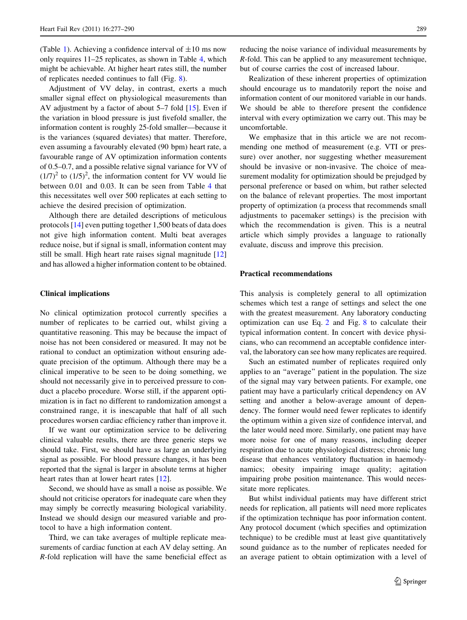(Table [1](#page-3-0)). Achieving a confidence interval of  $\pm 10$  ms now only requires 11–25 replicates, as shown in Table [4](#page-9-0), which might be achievable. At higher heart rates still, the number of replicates needed continues to fall (Fig. [8](#page-11-0)).

Adjustment of VV delay, in contrast, exerts a much smaller signal effect on physiological measurements than AV adjustment by a factor of about 5–7 fold [\[15](#page-13-0)]. Even if the variation in blood pressure is just fivefold smaller, the information content is roughly 25-fold smaller—because it is the variances (squared deviates) that matter. Therefore, even assuming a favourably elevated (90 bpm) heart rate, a favourable range of AV optimization information contents of 0.5–0.7, and a possible relative signal variance for VV of  $(1/7)^2$  to  $(1/5)^2$ , the information content for VV would lie between 0.01 and 0.03. It can be seen from Table [4](#page-9-0) that this necessitates well over 500 replicates at each setting to achieve the desired precision of optimization.

Although there are detailed descriptions of meticulous protocols [[14\]](#page-13-0) even putting together 1,500 beats of data does not give high information content. Multi beat averages reduce noise, but if signal is small, information content may still be small. High heart rate raises signal magnitude [[12\]](#page-13-0) and has allowed a higher information content to be obtained.

#### Clinical implications

No clinical optimization protocol currently specifies a number of replicates to be carried out, whilst giving a quantitative reasoning. This may be because the impact of noise has not been considered or measured. It may not be rational to conduct an optimization without ensuring adequate precision of the optimum. Although there may be a clinical imperative to be seen to be doing something, we should not necessarily give in to perceived pressure to conduct a placebo procedure. Worse still, if the apparent optimization is in fact no different to randomization amongst a constrained range, it is inescapable that half of all such procedures worsen cardiac efficiency rather than improve it.

If we want our optimization service to be delivering clinical valuable results, there are three generic steps we should take. First, we should have as large an underlying signal as possible. For blood pressure changes, it has been reported that the signal is larger in absolute terms at higher heart rates than at lower heart rates [[12\]](#page-13-0).

Second, we should have as small a noise as possible. We should not criticise operators for inadequate care when they may simply be correctly measuring biological variability. Instead we should design our measured variable and protocol to have a high information content.

Third, we can take averages of multiple replicate measurements of cardiac function at each AV delay setting. An R-fold replication will have the same beneficial effect as reducing the noise variance of individual measurements by R-fold. This can be applied to any measurement technique, but of course carries the cost of increased labour.

Realization of these inherent properties of optimization should encourage us to mandatorily report the noise and information content of our monitored variable in our hands. We should be able to therefore present the confidence interval with every optimization we carry out. This may be uncomfortable.

We emphasize that in this article we are not recommending one method of measurement (e.g. VTI or pressure) over another, nor suggesting whether measurement should be invasive or non-invasive. The choice of measurement modality for optimization should be prejudged by personal preference or based on whim, but rather selected on the balance of relevant properties. The most important property of optimization (a process that recommends small adjustments to pacemaker settings) is the precision with which the recommendation is given. This is a neutral article which simply provides a language to rationally evaluate, discuss and improve this precision.

#### Practical recommendations

This analysis is completely general to all optimization schemes which test a range of settings and select the one with the greatest measurement. Any laboratory conducting optimization can use Eq. [2](#page-10-0) and Fig. [8](#page-11-0) to calculate their typical information content. In concert with device physicians, who can recommend an acceptable confidence interval, the laboratory can see how many replicates are required.

Such an estimated number of replicates required only applies to an ''average'' patient in the population. The size of the signal may vary between patients. For example, one patient may have a particularly critical dependency on AV setting and another a below-average amount of dependency. The former would need fewer replicates to identify the optimum within a given size of confidence interval, and the later would need more. Similarly, one patient may have more noise for one of many reasons, including deeper respiration due to acute physiological distress; chronic lung disease that enhances ventilatory fluctuation in haemodynamics; obesity impairing image quality; agitation impairing probe position maintenance. This would necessitate more replicates.

But whilst individual patients may have different strict needs for replication, all patients will need more replicates if the optimization technique has poor information content. Any protocol document (which specifies and optimization technique) to be credible must at least give quantitatively sound guidance as to the number of replicates needed for an average patient to obtain optimization with a level of